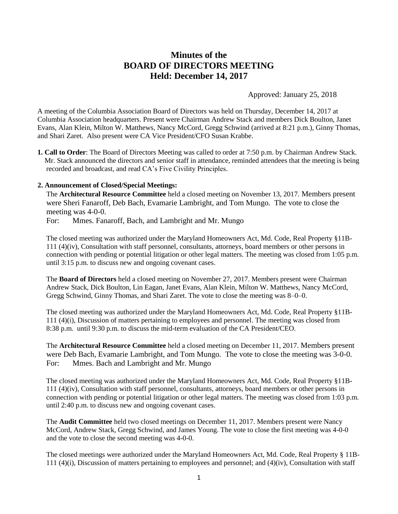# **Minutes of the BOARD OF DIRECTORS MEETING Held: December 14, 2017**

Approved: January 25, 2018

A meeting of the Columbia Association Board of Directors was held on Thursday, December 14, 2017 at Columbia Association headquarters. Present were Chairman Andrew Stack and members Dick Boulton, Janet Evans, Alan Klein, Milton W. Matthews, Nancy McCord, Gregg Schwind (arrived at 8:21 p.m.), Ginny Thomas, and Shari Zaret. Also present were CA Vice President/CFO Susan Krabbe.

**1. Call to Order**: The Board of Directors Meeting was called to order at 7:50 p.m. by Chairman Andrew Stack. Mr. Stack announced the directors and senior staff in attendance, reminded attendees that the meeting is being recorded and broadcast, and read CA's Five Civility Principles.

#### **2. Announcement of Closed/Special Meetings:**

The **Architectural Resource Committee** held a closed meeting on November 13, 2017. Members present were Sheri Fanaroff, Deb Bach, Evamarie Lambright, and Tom Mungo. The vote to close the meeting was 4-0-0.

For: Mmes. Fanaroff, Bach, and Lambright and Mr. Mungo

The closed meeting was authorized under the Maryland Homeowners Act, Md. Code, Real Property §11B-111 (4)(iv), Consultation with staff personnel, consultants, attorneys, board members or other persons in connection with pending or potential litigation or other legal matters. The meeting was closed from 1:05 p.m. until 3:15 p.m. to discuss new and ongoing covenant cases.

The **Board of Directors** held a closed meeting on November 27, 2017. Members present were Chairman Andrew Stack, Dick Boulton, Lin Eagan, Janet Evans, Alan Klein, Milton W. Matthews, Nancy McCord, Gregg Schwind, Ginny Thomas, and Shari Zaret. The vote to close the meeting was 8–0–0.

The closed meeting was authorized under the Maryland Homeowners Act, Md. Code, Real Property §11B-111 (4)(i), Discussion of matters pertaining to employees and personnel. The meeting was closed from 8:38 p.m. until 9:30 p.m. to discuss the mid-term evaluation of the CA President/CEO.

The **Architectural Resource Committee** held a closed meeting on December 11, 2017. Members present were Deb Bach, Evamarie Lambright, and Tom Mungo. The vote to close the meeting was 3-0-0. For: Mmes. Bach and Lambright and Mr. Mungo

The closed meeting was authorized under the Maryland Homeowners Act, Md. Code, Real Property §11B-111 (4)(iv), Consultation with staff personnel, consultants, attorneys, board members or other persons in connection with pending or potential litigation or other legal matters. The meeting was closed from 1:03 p.m. until 2:40 p.m. to discuss new and ongoing covenant cases.

The **Audit Committee** held two closed meetings on December 11, 2017. Members present were Nancy McCord, Andrew Stack, Gregg Schwind, and James Young. The vote to close the first meeting was 4-0-0 and the vote to close the second meeting was 4-0-0.

The closed meetings were authorized under the Maryland Homeowners Act, Md. Code, Real Property § 11B-111 (4)(i), Discussion of matters pertaining to employees and personnel; and (4)(iv), Consultation with staff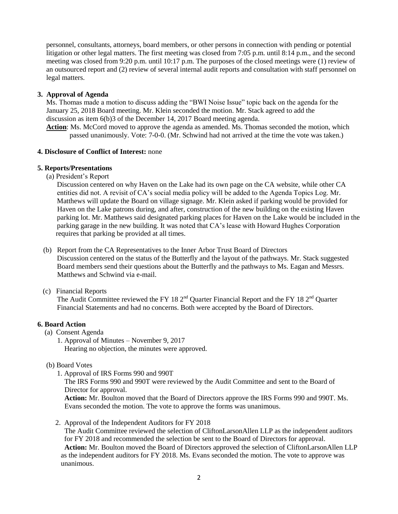personnel, consultants, attorneys, board members, or other persons in connection with pending or potential litigation or other legal matters. The first meeting was closed from 7:05 p.m. until 8:14 p.m., and the second meeting was closed from 9:20 p.m. until 10:17 p.m. The purposes of the closed meetings were (1) review of an outsourced report and (2) review of several internal audit reports and consultation with staff personnel on legal matters.

# **3. Approval of Agenda**

Ms. Thomas made a motion to discuss adding the "BWI Noise Issue" topic back on the agenda for the January 25, 2018 Board meeting. Mr. Klein seconded the motion. Mr. Stack agreed to add the discussion as item 6(b)3 of the December 14, 2017 Board meeting agenda.

**Action**: Ms. McCord moved to approve the agenda as amended. Ms. Thomas seconded the motion, which passed unanimously. Vote: 7-0-0. (Mr. Schwind had not arrived at the time the vote was taken.)

## **4. Disclosure of Conflict of Interest:** none

#### **5. Reports/Presentations**

(a) President's Report

Discussion centered on why Haven on the Lake had its own page on the CA website, while other CA entities did not. A revisit of CA's social media policy will be added to the Agenda Topics Log. Mr. Matthews will update the Board on village signage. Mr. Klein asked if parking would be provided for Haven on the Lake patrons during, and after, construction of the new building on the existing Haven parking lot. Mr. Matthews said designated parking places for Haven on the Lake would be included in the parking garage in the new building. It was noted that CA's lease with Howard Hughes Corporation requires that parking be provided at all times.

(b) Report from the CA Representatives to the Inner Arbor Trust Board of Directors Discussion centered on the status of the Butterfly and the layout of the pathways. Mr. Stack suggested Board members send their questions about the Butterfly and the pathways to Ms. Eagan and Messrs. Matthews and Schwind via e-mail.

(c) Financial Reports

The Audit Committee reviewed the FY 18  $2<sup>nd</sup>$  Quarter Financial Report and the FY 18  $2<sup>nd</sup>$  Quarter Financial Statements and had no concerns. Both were accepted by the Board of Directors.

## **6. Board Action**

(a) Consent Agenda

 1. Approval of Minutes – November 9, 2017 Hearing no objection, the minutes were approved.

- (b) Board Votes
	- 1. Approval of IRS Forms 990 and 990T

 The IRS Forms 990 and 990T were reviewed by the Audit Committee and sent to the Board of Director for approval.

 **Action:** Mr. Boulton moved that the Board of Directors approve the IRS Forms 990 and 990T. Ms. Evans seconded the motion. The vote to approve the forms was unanimous.

2. Approval of the Independent Auditors for FY 2018

 The Audit Committee reviewed the selection of CliftonLarsonAllen LLP as the independent auditors for FY 2018 and recommended the selection be sent to the Board of Directors for approval. **Action:** Mr. Boulton moved the Board of Directors approved the selection of CliftonLarsonAllen LLP as the independent auditors for FY 2018. Ms. Evans seconded the motion. The vote to approve was unanimous.